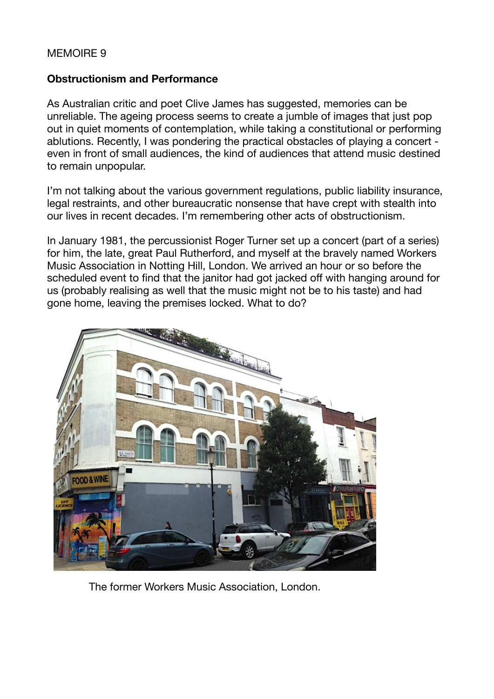## MEMOIRE 9

## **Obstructionism and Performance**

As Australian critic and poet Clive James has suggested, memories can be unreliable. The ageing process seems to create a jumble of images that just pop out in quiet moments of contemplation, while taking a constitutional or performing ablutions. Recently, I was pondering the practical obstacles of playing a concert even in front of small audiences, the kind of audiences that attend music destined to remain unpopular.

I'm not talking about the various government regulations, public liability insurance, legal restraints, and other bureaucratic nonsense that have crept with stealth into our lives in recent decades. I'm remembering other acts of obstructionism.

In January 1981, the percussionist Roger Turner set up a concert (part of a series) for him, the late, great Paul Rutherford, and myself at the bravely named Workers Music Association in Notting Hill, London. We arrived an hour or so before the scheduled event to find that the janitor had got jacked off with hanging around for us (probably realising as well that the music might not be to his taste) and had gone home, leaving the premises locked. What to do?



The former Workers Music Association, London.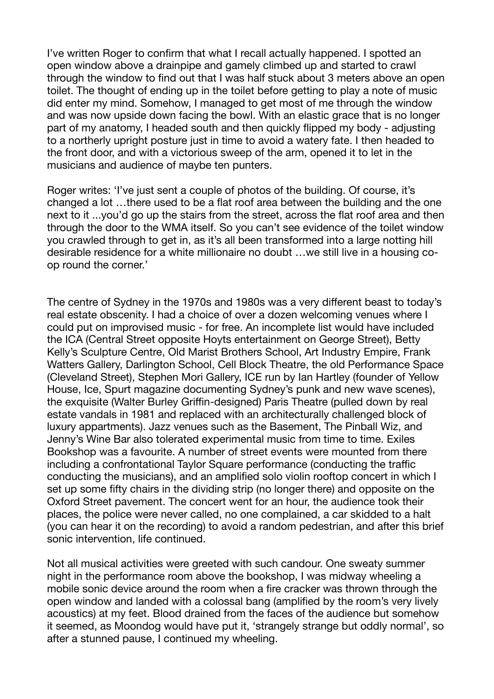I've written Roger to confirm that what I recall actually happened. I spotted an open window above a drainpipe and gamely climbed up and started to crawl through the window to find out that I was half stuck about 3 meters above an open toilet. The thought of ending up in the toilet before getting to play a note of music did enter my mind. Somehow, I managed to get most of me through the window and was now upside down facing the bowl. With an elastic grace that is no longer part of my anatomy, I headed south and then quickly flipped my body - adjusting to a northerly upright posture just in time to avoid a watery fate. I then headed to the front door, and with a victorious sweep of the arm, opened it to let in the musicians and audience of maybe ten punters.

Roger writes: 'I've just sent a couple of photos of the building. Of course, it's changed a lot …there used to be a flat roof area between the building and the one next to it ...you'd go up the stairs from the street, across the flat roof area and then through the door to the WMA itself. So you can't see evidence of the toilet window you crawled through to get in, as it's all been transformed into a large notting hill desirable residence for a white millionaire no doubt …we still live in a housing coop round the corner.'

The centre of Sydney in the 1970s and 1980s was a very different beast to today's real estate obscenity. I had a choice of over a dozen welcoming venues where I could put on improvised music - for free. An incomplete list would have included the ICA (Central Street opposite Hoyts entertainment on George Street), Betty Kelly's Sculpture Centre, Old Marist Brothers School, Art Industry Empire, Frank Watters Gallery, Darlington School, Cell Block Theatre, the old Performance Space (Cleveland Street), Stephen Mori Gallery, ICE run by Ian Hartley (founder of Yellow House, Ice, Spurt magazine documenting Sydney's punk and new wave scenes), the exquisite (Walter Burley Griffin-designed) Paris Theatre (pulled down by real estate vandals in 1981 and replaced with an architecturally challenged block of luxury appartments). Jazz venues such as the Basement, The Pinball Wiz, and Jenny's Wine Bar also tolerated experimental music from time to time. Exiles Bookshop was a favourite. A number of street events were mounted from there including a confrontational Taylor Square performance (conducting the traffic conducting the musicians), and an amplified solo violin rooftop concert in which I set up some fifty chairs in the dividing strip (no longer there) and opposite on the Oxford Street pavement. The concert went for an hour, the audience took their places, the police were never called, no one complained, a car skidded to a halt (you can hear it on the recording) to avoid a random pedestrian, and after this brief sonic intervention, life continued.

Not all musical activities were greeted with such candour. One sweaty summer night in the performance room above the bookshop, I was midway wheeling a mobile sonic device around the room when a fire cracker was thrown through the open window and landed with a colossal bang (amplified by the room's very lively acoustics) at my feet. Blood drained from the faces of the audience but somehow it seemed, as Moondog would have put it, 'strangely strange but oddly normal', so after a stunned pause, I continued my wheeling.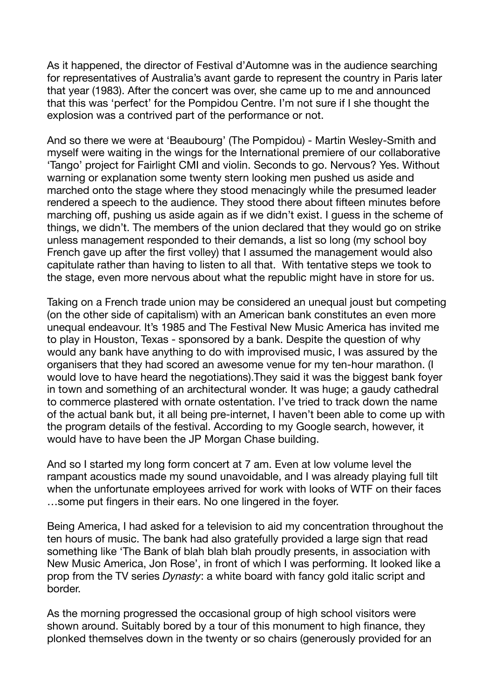As it happened, the director of Festival d'Automne was in the audience searching for representatives of Australia's avant garde to represent the country in Paris later that year (1983). After the concert was over, she came up to me and announced that this was 'perfect' for the Pompidou Centre. I'm not sure if I she thought the explosion was a contrived part of the performance or not.

And so there we were at 'Beaubourg' (The Pompidou) - Martin Wesley-Smith and myself were waiting in the wings for the International premiere of our collaborative 'Tango' project for Fairlight CMI and violin. Seconds to go. Nervous? Yes. Without warning or explanation some twenty stern looking men pushed us aside and marched onto the stage where they stood menacingly while the presumed leader rendered a speech to the audience. They stood there about fifteen minutes before marching off, pushing us aside again as if we didn't exist. I guess in the scheme of things, we didn't. The members of the union declared that they would go on strike unless management responded to their demands, a list so long (my school boy French gave up after the first volley) that I assumed the management would also capitulate rather than having to listen to all that. With tentative steps we took to the stage, even more nervous about what the republic might have in store for us.

Taking on a French trade union may be considered an unequal joust but competing (on the other side of capitalism) with an American bank constitutes an even more unequal endeavour. It's 1985 and The Festival New Music America has invited me to play in Houston, Texas - sponsored by a bank. Despite the question of why would any bank have anything to do with improvised music, I was assured by the organisers that they had scored an awesome venue for my ten-hour marathon. (I would love to have heard the negotiations).They said it was the biggest bank foyer in town and something of an architectural wonder. It was huge; a gaudy cathedral to commerce plastered with ornate ostentation. I've tried to track down the name of the actual bank but, it all being pre-internet, I haven't been able to come up with the program details of the festival. According to my Google search, however, it would have to have been the JP Morgan Chase building.

And so I started my long form concert at 7 am. Even at low volume level the rampant acoustics made my sound unavoidable, and I was already playing full tilt when the unfortunate employees arrived for work with looks of WTF on their faces …some put fingers in their ears. No one lingered in the foyer.

Being America, I had asked for a television to aid my concentration throughout the ten hours of music. The bank had also gratefully provided a large sign that read something like 'The Bank of blah blah blah proudly presents, in association with New Music America, Jon Rose', in front of which I was performing. It looked like a prop from the TV series *Dynasty*: a white board with fancy gold italic script and border.

As the morning progressed the occasional group of high school visitors were shown around. Suitably bored by a tour of this monument to high finance, they plonked themselves down in the twenty or so chairs (generously provided for an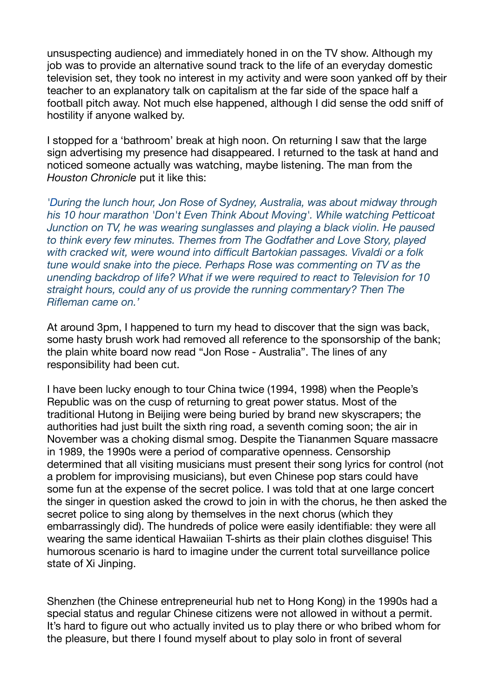unsuspecting audience) and immediately honed in on the TV show. Although my job was to provide an alternative sound track to the life of an everyday domestic television set, they took no interest in my activity and were soon yanked off by their teacher to an explanatory talk on capitalism at the far side of the space half a football pitch away. Not much else happened, although I did sense the odd sniff of hostility if anyone walked by.

I stopped for a 'bathroom' break at high noon. On returning I saw that the large sign advertising my presence had disappeared. I returned to the task at hand and noticed someone actually was watching, maybe listening. The man from the *Houston Chronicle* put it like this:

*'During the lunch hour, Jon Rose of Sydney, Australia, was about midway through his 10 hour marathon 'Don't Even Think About Moving'. While watching Petticoat Junction on TV, he was wearing sunglasses and playing a black violin. He paused to think every few minutes. Themes from The Godfather and Love Story, played with cracked wit, were wound into difficult Bartokian passages. Vivaldi or a folk tune would snake into the piece. Perhaps Rose was commenting on TV as the unending backdrop of life? What if we were required to react to Television for 10 straight hours, could any of us provide the running commentary? Then The Rifleman came on.'* 

At around 3pm, I happened to turn my head to discover that the sign was back, some hasty brush work had removed all reference to the sponsorship of the bank; the plain white board now read "Jon Rose - Australia". The lines of any responsibility had been cut.

I have been lucky enough to tour China twice (1994, 1998) when the People's Republic was on the cusp of returning to great power status. Most of the traditional Hutong in Beijing were being buried by brand new skyscrapers; the authorities had just built the sixth ring road, a seventh coming soon; the air in November was a choking dismal smog. Despite the Tiananmen Square massacre in 1989, the 1990s were a period of comparative openness. Censorship determined that all visiting musicians must present their song lyrics for control (not a problem for improvising musicians), but even Chinese pop stars could have some fun at the expense of the secret police. I was told that at one large concert the singer in question asked the crowd to join in with the chorus, he then asked the secret police to sing along by themselves in the next chorus (which they embarrassingly did). The hundreds of police were easily identifiable: they were all wearing the same identical Hawaiian T-shirts as their plain clothes disguise! This humorous scenario is hard to imagine under the current total surveillance police state of Xi Jinping.

Shenzhen (the Chinese entrepreneurial hub net to Hong Kong) in the 1990s had a special status and regular Chinese citizens were not allowed in without a permit. It's hard to figure out who actually invited us to play there or who bribed whom for the pleasure, but there I found myself about to play solo in front of several